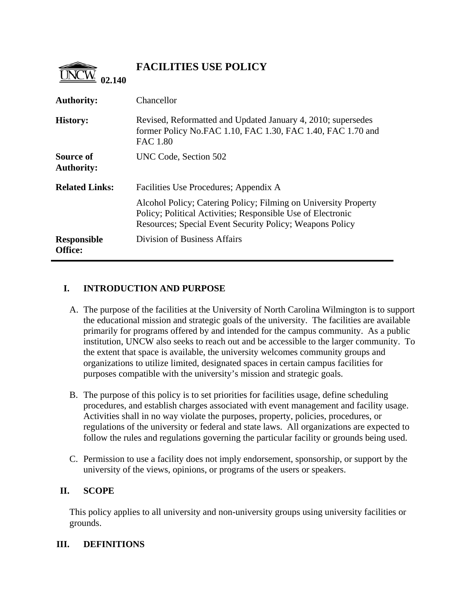

# **FACILITIES USE POLICY**

| <b>Authority:</b>              | Chancellor                                                                                                                                                                                        |
|--------------------------------|---------------------------------------------------------------------------------------------------------------------------------------------------------------------------------------------------|
| <b>History:</b>                | Revised, Reformatted and Updated January 4, 2010; supersedes<br>former Policy No.FAC 1.10, FAC 1.30, FAC 1.40, FAC 1.70 and<br><b>FAC 1.80</b>                                                    |
| Source of<br><b>Authority:</b> | UNC Code, Section 502                                                                                                                                                                             |
| <b>Related Links:</b>          | Facilities Use Procedures; Appendix A                                                                                                                                                             |
|                                | Alcohol Policy; Catering Policy; Filming on University Property<br>Policy; Political Activities; Responsible Use of Electronic<br><b>Resources: Special Event Security Policy: Weapons Policy</b> |
| <b>Responsible</b><br>Office:  | Division of Business Affairs                                                                                                                                                                      |

# **I. INTRODUCTION AND PURPOSE**

- A. The purpose of the facilities at the University of North Carolina Wilmington is to support the educational mission and strategic goals of the university. The facilities are available primarily for programs offered by and intended for the campus community. As a public institution, UNCW also seeks to reach out and be accessible to the larger community. To the extent that space is available, the university welcomes community groups and organizations to utilize limited, designated spaces in certain campus facilities for purposes compatible with the university's mission and strategic goals.
- B. The purpose of this policy is to set priorities for facilities usage, define scheduling procedures, and establish charges associated with event management and facility usage. Activities shall in no way violate the purposes, property, policies, procedures, or regulations of the university or federal and state laws. All organizations are expected to follow the rules and regulations governing the particular facility or grounds being used.
- C. Permission to use a facility does not imply endorsement, sponsorship, or support by the university of the views, opinions, or programs of the users or speakers.

## **II. SCOPE**

This policy applies to all university and non-university groups using university facilities or grounds.

## **III. DEFINITIONS**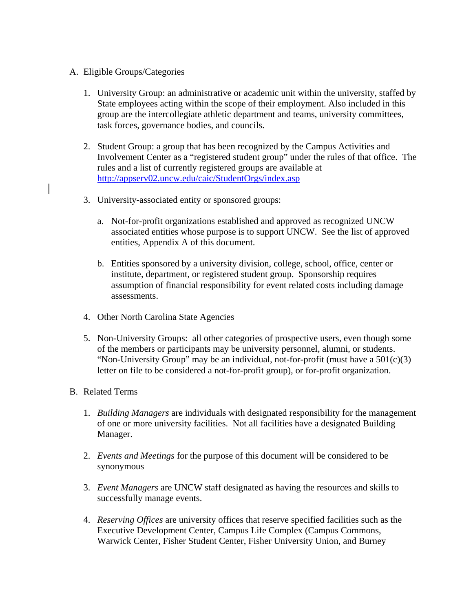#### A. Eligible Groups/Categories

- 1. University Group: an administrative or academic unit within the university, staffed by State employees acting within the scope of their employment. Also included in this group are the intercollegiate athletic department and teams, university committees, task forces, governance bodies, and councils.
- 2. Student Group: a group that has been recognized by the Campus Activities and Involvement Center as a "registered student group" under the rules of that office. The rules and a list of currently registered groups are available at <http://appserv02.uncw.edu/caic/StudentOrgs/index.asp>
- 3. University-associated entity or sponsored groups:
	- a. Not-for-profit organizations established and approved as recognized UNCW associated entities whose purpose is to support UNCW. See the list of approved entities, [Appendix A of this document](http://uncw.edu/policies/documents/APPENDIXAtoPolicy02.140.11.2009.pdf).
	- b. Entities sponsored by a university division, college, school, office, center or institute, department, or registered student group. Sponsorship requires assumption of financial responsibility for event related costs including damage assessments.
- 4. Other North Carolina State Agencies
- 5. Non-University Groups: all other categories of prospective users, even though some of the members or participants may be university personnel, alumni, or students. "Non-University Group" may be an individual, not-for-profit (must have a  $501(c)(3)$ ) letter on file to be considered a not-for-profit group), or for-profit organization.

## B. Related Terms

- 1. *Building Managers* are individuals with designated responsibility for the management of one or more university facilities. Not all facilities have a designated Building Manager.
- 2. *Events and Meetings* for the purpose of this document will be considered to be synonymous
- 3. *Event Managers* are UNCW staff designated as having the resources and skills to successfully manage events.
- 4. *Reserving Offices* are university offices that reserve specified facilities such as the Executive Development Center, Campus Life Complex (Campus Commons, Warwick Center, Fisher Student Center, Fisher University Union, and Burney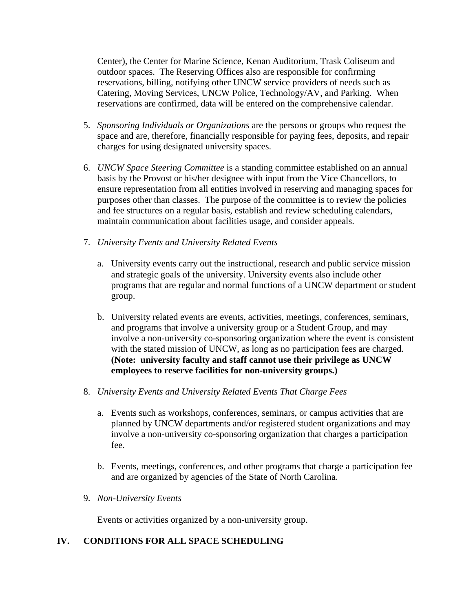Center), the Center for Marine Science, Kenan Auditorium, Trask Coliseum and outdoor spaces. The Reserving Offices also are responsible for confirming reservations, billing, notifying other UNCW service providers of needs such as Catering, Moving Services, UNCW Police, Technology/AV, and Parking. When reservations are confirmed, data will be entered on the comprehensive calendar.

- 5. *Sponsoring Individuals or Organizations* are the persons or groups who request the space and are, therefore, financially responsible for paying fees, deposits, and repair charges for using designated university spaces.
- 6. *UNCW Space Steering Committee* is a standing committee established on an annual basis by the Provost or his/her designee with input from the Vice Chancellors, to ensure representation from all entities involved in reserving and managing spaces for purposes other than classes. The purpose of the committee is to review the policies and fee structures on a regular basis, establish and review scheduling calendars, maintain communication about facilities usage, and consider appeals.
- 7. *University Events and University Related Events* 
	- a. University events carry out the instructional, research and public service mission and strategic goals of the university. University events also include other programs that are regular and normal functions of a UNCW department or student group.
	- b. University related events are events, activities, meetings, conferences, seminars, and programs that involve a university group or a Student Group, and may involve a non-university co-sponsoring organization where the event is consistent with the stated mission of UNCW, as long as no participation fees are charged. **(Note: university faculty and staff cannot use their privilege as UNCW employees to reserve facilities for non-university groups.)**
- 8. *University Events and University Related Events That Charge Fees* 
	- a. Events such as workshops, conferences, seminars, or campus activities that are planned by UNCW departments and/or registered student organizations and may involve a non-university co-sponsoring organization that charges a participation fee.
	- b. Events, meetings, conferences, and other programs that charge a participation fee and are organized by agencies of the State of North Carolina.
- 9. *Non-University Events*

Events or activities organized by a non-university group.

#### **IV. CONDITIONS FOR ALL SPACE SCHEDULING**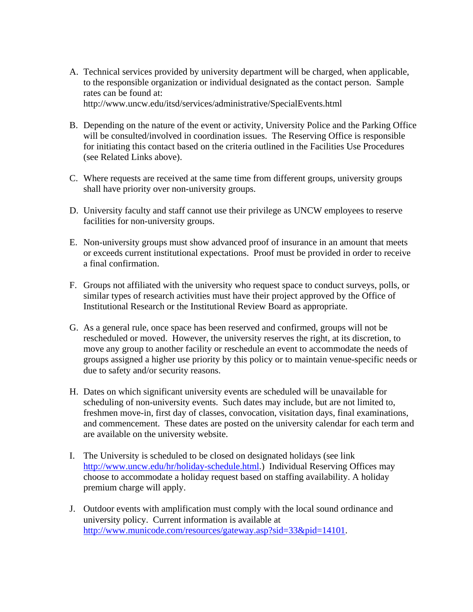- A. Technical services provided by university department will be charged, when applicable, to the responsible organization or individual designated as the contact person. Sample rates can be found at: <http://www.uncw.edu/itsd/services/administrative/SpecialEvents.html>
- B. Depending on the nature of the event or activity, University Police and the Parking Office will be consulted/involved in coordination issues. The Reserving Office is responsible for initiating this contact based on the criteria outlined in the Facilities Use Procedures (see Related Links above).
- C. Where requests are received at the same time from different groups, university groups shall have priority over non-university groups.
- D. University faculty and staff cannot use their privilege as UNCW employees to reserve facilities for non-university groups.
- E. Non-university groups must show advanced proof of insurance in an amount that meets or exceeds current institutional expectations. Proof must be provided in order to receive a final confirmation.
- F. Groups not affiliated with the university who request space to conduct surveys, polls, or similar types of research activities must have their project approved by the Office of Institutional Research or the Institutional Review Board as appropriate.
- G. As a general rule, once space has been reserved and confirmed, groups will not be rescheduled or moved. However, the university reserves the right, at its discretion, to move any group to another facility or reschedule an event to accommodate the needs of groups assigned a higher use priority by this policy or to maintain venue-specific needs or due to safety and/or security reasons.
- H. Dates on which significant university events are scheduled will be unavailable for scheduling of non-university events. Such dates may include, but are not limited to, freshmen move-in, first day of classes, convocation, visitation days, final examinations, and commencement. These dates are posted on the university calendar for each term and are available on the university website.
- I. The University is scheduled to be closed on designated holidays (see link <http://www.uncw.edu/hr/holiday-schedule.html>.) Individual Reserving Offices may choose to accommodate a holiday request based on staffing availability. A holiday premium charge will apply.
- J. Outdoor events with amplification must comply with the local sound ordinance and university policy. Current information is available at [http://www.municode.com/resources/gateway.asp?sid=33&pid=14101](http://library1.municode.com/default-test/home.htm?infobase=14101&doc_action=whatsnew).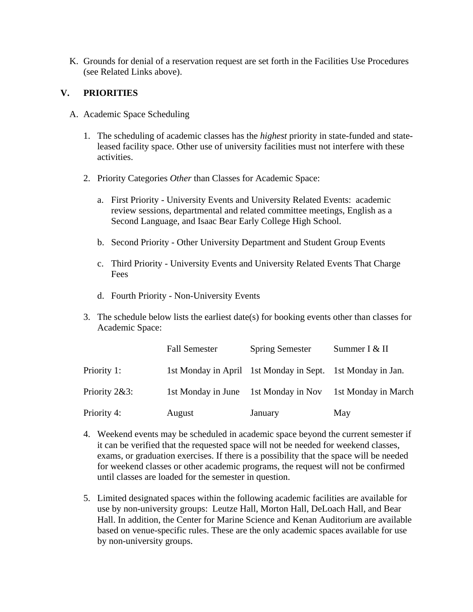K. Grounds for denial of a reservation request are set forth in the Facilities Use Procedures (see Related Links above).

### **V. PRIORITIES**

- A. Academic Space Scheduling
	- 1. The scheduling of academic classes has the *highest* priority in state-funded and stateleased facility space. Other use of university facilities must not interfere with these activities.
	- 2. Priority Categories *Other* than Classes for Academic Space:
		- a. First Priority University Events and University Related Events: academic review sessions, departmental and related committee meetings, English as a Second Language, and Isaac Bear Early College High School.
		- b. Second Priority Other University Department and Student Group Events
		- c. Third Priority University Events and University Related Events That Charge Fees
		- d. Fourth Priority Non-University Events
	- 3. The schedule below lists the earliest date(s) for booking events other than classes for Academic Space:

|               | <b>Fall Semester</b> | <b>Spring Semester</b>                                     | Summer I & II       |
|---------------|----------------------|------------------------------------------------------------|---------------------|
| Priority 1:   |                      | 1st Monday in April 1st Monday in Sept. 1st Monday in Jan. |                     |
| Priority 2&3: | 1st Monday in June   | 1st Monday in Nov                                          | 1st Monday in March |
| Priority 4:   | August               | January                                                    | May                 |

- 4. Weekend events may be scheduled in academic space beyond the current semester if it can be verified that the requested space will not be needed for weekend classes, exams, or graduation exercises. If there is a possibility that the space will be needed for weekend classes or other academic programs, the request will not be confirmed until classes are loaded for the semester in question.
- 5. Limited designated spaces within the following academic facilities are available for use by non-university groups: Leutze Hall, Morton Hall, DeLoach Hall, and Bear Hall. In addition, the Center for Marine Science and Kenan Auditorium are available based on venue-specific rules. These are the only academic spaces available for use by non-university groups.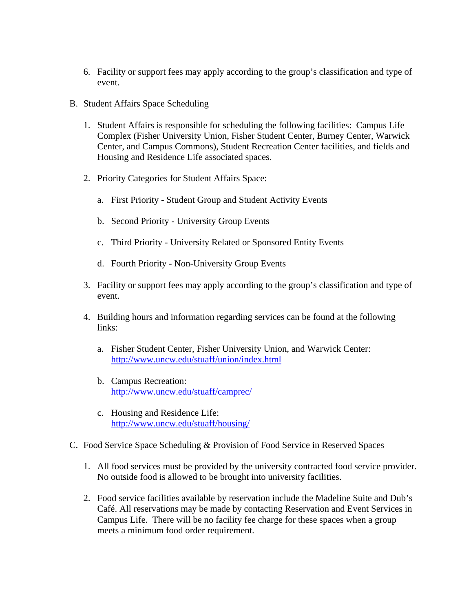- 6. Facility or support fees may apply according to the group's classification and type of event.
- B. Student Affairs Space Scheduling
	- 1. Student Affairs is responsible for scheduling the following facilities: Campus Life Complex (Fisher University Union, Fisher Student Center, Burney Center, Warwick Center, and Campus Commons), Student Recreation Center facilities, and fields and Housing and Residence Life associated spaces.
	- 2. Priority Categories for Student Affairs Space:
		- a. First Priority Student Group and Student Activity Events
		- b. Second Priority University Group Events
		- c. Third Priority University Related or Sponsored Entity Events
		- d. Fourth Priority Non-University Group Events
	- 3. Facility or support fees may apply according to the group's classification and type of event.
	- 4. Building hours and information regarding services can be found at the following links:
		- a. Fisher Student Center, Fisher University Union, and Warwick Center: <http://www.uncw.edu/stuaff/union/index.html>
		- b. Campus Recreation: <http://www.uncw.edu/stuaff/camprec/>
		- c. Housing and Residence Life: <http://www.uncw.edu/stuaff/housing/>
- C. Food Service Space Scheduling & Provision of Food Service in Reserved Spaces
	- 1. All food services must be provided by the university contracted food service provider. No outside food is allowed to be brought into university facilities.
	- 2. Food service facilities available by reservation include the Madeline Suite and Dub's Café. All reservations may be made by contacting Reservation and Event Services in Campus Life. There will be no facility fee charge for these spaces when a group meets a minimum food order requirement.